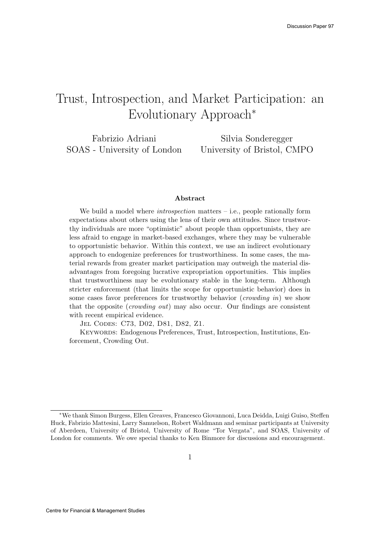# Trust, Introspection, and Market Participation: an Evolutionary Approach<sup>∗</sup>

Fabrizio Adriani SOAS - University of London

Silvia Sonderegger University of Bristol, CMPO

#### Abstract

We build a model where *introspection* matters  $-$  i.e., people rationally form expectations about others using the lens of their own attitudes. Since trustworthy individuals are more "optimistic" about people than opportunists, they are less afraid to engage in market-based exchanges, where they may be vulnerable to opportunistic behavior. Within this context, we use an indirect evolutionary approach to endogenize preferences for trustworthiness. In some cases, the material rewards from greater market participation may outweigh the material disadvantages from foregoing lucrative expropriation opportunities. This implies that trustworthiness may be evolutionary stable in the long-term. Although stricter enforcement (that limits the scope for opportunistic behavior) does in some cases favor preferences for trustworthy behavior (crowding in) we show that the opposite (*crowding out*) may also occur. Our findings are consistent with recent empirical evidence.

Jel Codes: C73, D02, D81, D82, Z1.

Keywords: Endogenous Preferences, Trust, Introspection, Institutions, Enforcement, Crowding Out.

<sup>∗</sup>We thank Simon Burgess, Ellen Greaves, Francesco Giovannoni, Luca Deidda, Luigi Guiso, Steffen Huck, Fabrizio Mattesini, Larry Samuelson, Robert Waldmann and seminar participants at University of Aberdeen, University of Bristol, University of Rome "Tor Vergata", and SOAS, University of London for comments. We owe special thanks to Ken Binmore for discussions and encouragement.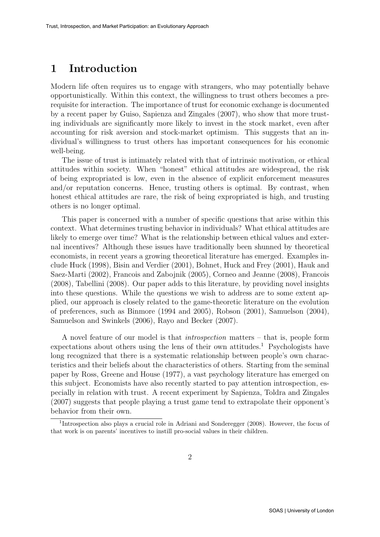### 1 Introduction

Modern life often requires us to engage with strangers, who may potentially behave opportunistically. Within this context, the willingness to trust others becomes a prerequisite for interaction. The importance of trust for economic exchange is documented by a recent paper by Guiso, Sapienza and Zingales (2007), who show that more trusting individuals are significantly more likely to invest in the stock market, even after accounting for risk aversion and stock-market optimism. This suggests that an individual's willingness to trust others has important consequences for his economic well-being.

The issue of trust is intimately related with that of intrinsic motivation, or ethical attitudes within society. When "honest" ethical attitudes are widespread, the risk of being expropriated is low, even in the absence of explicit enforcement measures and/or reputation concerns. Hence, trusting others is optimal. By contrast, when honest ethical attitudes are rare, the risk of being expropriated is high, and trusting others is no longer optimal.

This paper is concerned with a number of specific questions that arise within this context. What determines trusting behavior in individuals? What ethical attitudes are likely to emerge over time? What is the relationship between ethical values and external incentives? Although these issues have traditionally been shunned by theoretical economists, in recent years a growing theoretical literature has emerged. Examples include Huck (1998), Bisin and Verdier (2001), Bohnet, Huck and Frey (2001), Hauk and Saez-Marti (2002), Francois and Zabojnik (2005), Corneo and Jeanne (2008), Francois (2008), Tabellini (2008). Our paper adds to this literature, by providing novel insights into these questions. While the questions we wish to address are to some extent applied, our approach is closely related to the game-theoretic literature on the evolution of preferences, such as Binmore (1994 and 2005), Robson (2001), Samuelson (2004), Samuelson and Swinkels (2006), Rayo and Becker (2007).

A novel feature of our model is that introspection matters – that is, people form expectations about others using the lens of their own attitudes.<sup>1</sup> Psychologists have long recognized that there is a systematic relationship between people's own characteristics and their beliefs about the characteristics of others. Starting from the seminal paper by Ross, Greene and House (1977), a vast psychology literature has emerged on this subject. Economists have also recently started to pay attention introspection, especially in relation with trust. A recent experiment by Sapienza, Toldra and Zingales (2007) suggests that people playing a trust game tend to extrapolate their opponent's behavior from their own.

<sup>&</sup>lt;sup>1</sup>Introspection also plays a crucial role in Adriani and Sonderegger (2008). However, the focus of that work is on parents' incentives to instill pro-social values in their children.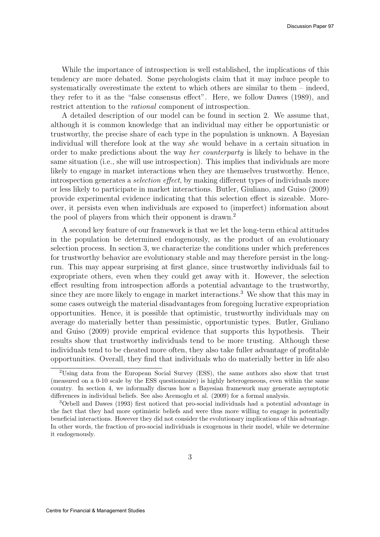While the importance of introspection is well established, the implications of this tendency are more debated. Some psychologists claim that it may induce people to systematically overestimate the extent to which others are similar to them – indeed, they refer to it as the "false consensus effect". Here, we follow Dawes (1989), and restrict attention to the rational component of introspection.

A detailed description of our model can be found in section 2. We assume that, although it is common knowledge that an individual may either be opportunistic or trustworthy, the precise share of each type in the population is unknown. A Bayesian individual will therefore look at the way she would behave in a certain situation in order to make predictions about the way her counterparty is likely to behave in the same situation (i.e., she will use introspection). This implies that individuals are more likely to engage in market interactions when they are themselves trustworthy. Hence, introspection generates a selection effect, by making different types of individuals more or less likely to participate in market interactions. Butler, Giuliano, and Guiso (2009) provide experimental evidence indicating that this selection effect is sizeable. Moreover, it persists even when individuals are exposed to (imperfect) information about the pool of players from which their opponent is drawn.<sup>2</sup>

A second key feature of our framework is that we let the long-term ethical attitudes in the population be determined endogenously, as the product of an evolutionary selection process. In section 3, we characterize the conditions under which preferences for trustworthy behavior are evolutionary stable and may therefore persist in the longrun. This may appear surprising at first glance, since trustworthy individuals fail to expropriate others, even when they could get away with it. However, the selection effect resulting from introspection affords a potential advantage to the trustworthy, since they are more likely to engage in market interactions.<sup>3</sup> We show that this may in some cases outweigh the material disadvantages from foregoing lucrative expropriation opportunities. Hence, it is possible that optimistic, trustworthy individuals may on average do materially better than pessimistic, opportunistic types. Butler, Giuliano and Guiso (2009) provide emprical evidence that supports this hypothesis. Their results show that trustworthy individuals tend to be more trusting. Although these individuals tend to be cheated more often, they also take fuller advantage of profitable opportunities. Overall, they find that individuals who do materially better in life also

<sup>2</sup>Using data from the European Social Survey (ESS), the same authors also show that trust (measured on a 0-10 scale by the ESS questionnaire) is highly heterogeneous, even within the same country. In section 4, we informally discuss how a Bayesian framework may generate asymptotic differences in individual beliefs. See also Acemoglu et al. (2009) for a formal analysis.

<sup>3</sup>Orbell and Dawes (1993) first noticed that pro-social individuals had a potential advantage in the fact that they had more optimistic beliefs and were thus more willing to engage in potentially beneficial interactions. However they did not consider the evolutionary implications of this advantage. In other words, the fraction of pro-social individuals is exogenous in their model, while we determine it endogenously.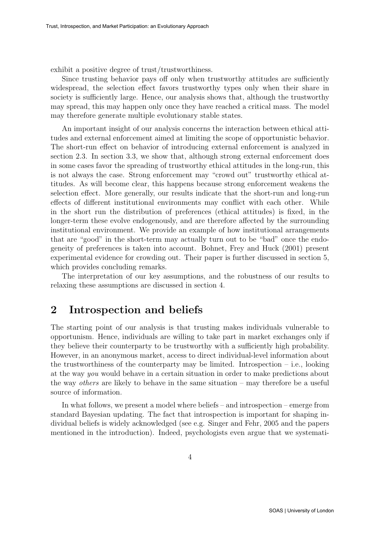exhibit a positive degree of trust/trustworthiness.

Since trusting behavior pays off only when trustworthy attitudes are sufficiently widespread, the selection effect favors trustworthy types only when their share in society is sufficiently large. Hence, our analysis shows that, although the trustworthy may spread, this may happen only once they have reached a critical mass. The model may therefore generate multiple evolutionary stable states.

An important insight of our analysis concerns the interaction between ethical attitudes and external enforcement aimed at limiting the scope of opportunistic behavior. The short-run effect on behavior of introducing external enforcement is analyzed in section 2.3. In section 3.3, we show that, although strong external enforcement does in some cases favor the spreading of trustworthy ethical attitudes in the long-run, this is not always the case. Strong enforcement may "crowd out" trustworthy ethical attitudes. As will become clear, this happens because strong enforcement weakens the selection effect. More generally, our results indicate that the short-run and long-run effects of different institutional environments may conflict with each other. While in the short run the distribution of preferences (ethical attitudes) is fixed, in the longer-term these evolve endogenously, and are therefore affected by the surrounding institutional environment. We provide an example of how institutional arrangements that are "good" in the short-term may actually turn out to be "bad" once the endogeneity of preferences is taken into account. Bohnet, Frey and Huck (2001) present experimental evidence for crowding out. Their paper is further discussed in section 5, which provides concluding remarks.

The interpretation of our key assumptions, and the robustness of our results to relaxing these assumptions are discussed in section 4.

### 2 Introspection and beliefs

The starting point of our analysis is that trusting makes individuals vulnerable to opportunism. Hence, individuals are willing to take part in market exchanges only if they believe their counterparty to be trustworthy with a sufficiently high probability. However, in an anonymous market, access to direct individual-level information about the trustworthiness of the counterparty may be limited. Introspection  $-$  i.e., looking at the way you would behave in a certain situation in order to make predictions about the way others are likely to behave in the same situation – may therefore be a useful source of information.

In what follows, we present a model where beliefs – and introspection – emerge from standard Bayesian updating. The fact that introspection is important for shaping individual beliefs is widely acknowledged (see e.g. Singer and Fehr, 2005 and the papers mentioned in the introduction). Indeed, psychologists even argue that we systemati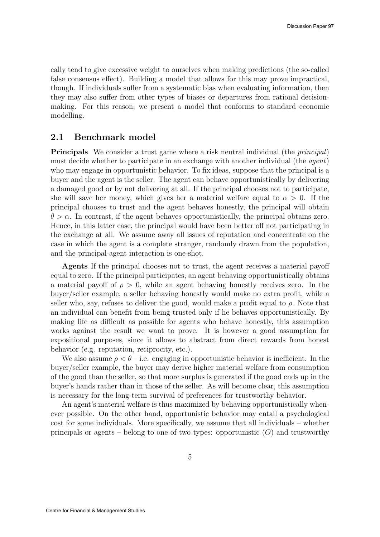cally tend to give excessive weight to ourselves when making predictions (the so-called false consensus effect). Building a model that allows for this may prove impractical, though. If individuals suffer from a systematic bias when evaluating information, then they may also suffer from other types of biases or departures from rational decisionmaking. For this reason, we present a model that conforms to standard economic modelling.

#### 2.1 Benchmark model

Principals We consider a trust game where a risk neutral individual (the principal) must decide whether to participate in an exchange with another individual (the agent) who may engage in opportunistic behavior. To fix ideas, suppose that the principal is a buyer and the agent is the seller. The agent can behave opportunistically by delivering a damaged good or by not delivering at all. If the principal chooses not to participate, she will save her money, which gives her a material welfare equal to  $\alpha > 0$ . If the principal chooses to trust and the agent behaves honestly, the principal will obtain  $\theta > \alpha$ . In contrast, if the agent behaves opportunistically, the principal obtains zero. Hence, in this latter case, the principal would have been better off not participating in the exchange at all. We assume away all issues of reputation and concentrate on the case in which the agent is a complete stranger, randomly drawn from the population, and the principal-agent interaction is one-shot.

Agents If the principal chooses not to trust, the agent receives a material payoff equal to zero. If the principal participates, an agent behaving opportunistically obtains a material payoff of  $\rho > 0$ , while an agent behaving honestly receives zero. In the buyer/seller example, a seller behaving honestly would make no extra profit, while a seller who, say, refuses to deliver the good, would make a profit equal to  $\rho$ . Note that an individual can benefit from being trusted only if he behaves opportunistically. By making life as difficult as possible for agents who behave honestly, this assumption works against the result we want to prove. It is however a good assumption for expositional purposes, since it allows to abstract from direct rewards from honest behavior (e.g. reputation, reciprocity, etc.).

We also assume  $\rho < \theta$  – i.e. engaging in opportunistic behavior is inefficient. In the buyer/seller example, the buyer may derive higher material welfare from consumption of the good than the seller, so that more surplus is generated if the good ends up in the buyer's hands rather than in those of the seller. As will become clear, this assumption is necessary for the long-term survival of preferences for trustworthy behavior.

An agent's material welfare is thus maximized by behaving opportunistically whenever possible. On the other hand, opportunistic behavior may entail a psychological cost for some individuals. More specifically, we assume that all individuals – whether principals or agents – belong to one of two types: opportunistic  $(O)$  and trustworthy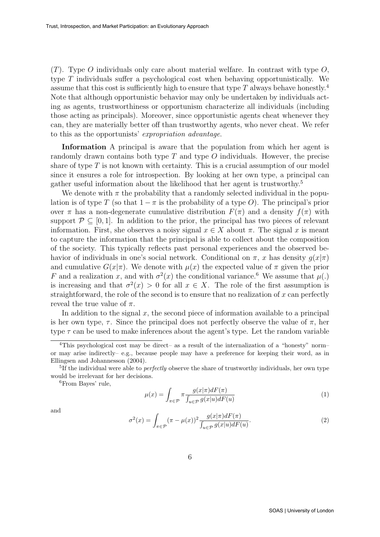$(T)$ . Type O individuals only care about material welfare. In contrast with type O, type T individuals suffer a psychological cost when behaving opportunistically. We assume that this cost is sufficiently high to ensure that type  $T$  always behave honestly.<sup>4</sup> Note that although opportunistic behavior may only be undertaken by individuals acting as agents, trustworthiness or opportunism characterize all individuals (including those acting as principals). Moreover, since opportunistic agents cheat whenever they can, they are materially better off than trustworthy agents, who never cheat. We refer to this as the opportunists' expropriation advantage.

Information A principal is aware that the population from which her agent is randomly drawn contains both type  $T$  and type  $O$  individuals. However, the precise share of type  $T$  is not known with certainty. This is a crucial assumption of our model since it ensures a role for introspection. By looking at her own type, a principal can gather useful information about the likelihood that her agent is trustworthy.<sup>5</sup>

We denote with  $\pi$  the probability that a randomly selected individual in the population is of type T (so that  $1 - \pi$  is the probability of a type O). The principal's prior over  $\pi$  has a non-degenerate cumulative distribution  $F(\pi)$  and a density  $f(\pi)$  with support  $\mathcal{P} \subseteq [0, 1]$ . In addition to the prior, the principal has two pieces of relevant information. First, she observes a noisy signal  $x \in X$  about  $\pi$ . The signal x is meant to capture the information that the principal is able to collect about the composition of the society. This typically reflects past personal experiences and the observed behavior of individuals in one's social network. Conditional on  $\pi$ , x has density  $g(x|\pi)$ and cumulative  $G(x|\pi)$ . We denote with  $\mu(x)$  the expected value of  $\pi$  given the prior F and a realization x, and with  $\sigma^2(x)$  the conditional variance.<sup>6</sup> We assume that  $\mu(.)$ is increasing and that  $\sigma^2(x) > 0$  for all  $x \in X$ . The role of the first assumption is straightforward, the role of the second is to ensure that no realization of  $x$  can perfectly reveal the true value of  $\pi$ .

In addition to the signal  $x$ , the second piece of information available to a principal is her own type,  $\tau$ . Since the principal does not perfectly observe the value of  $\pi$ , her type  $\tau$  can be used to make inferences about the agent's type. Let the random variable

$$
\mu(x) = \int_{\pi \in \mathcal{P}} \pi \frac{g(x|\pi) dF(\pi)}{\int_{u \in \mathcal{P}} g(x|u) dF(u)} \tag{1}
$$

and

$$
\sigma^{2}(x) = \int_{\pi \in \mathcal{P}} (\pi - \mu(x))^{2} \frac{g(x|\pi) dF(\pi)}{\int_{u \in \mathcal{P}} g(x|u) dF(u)}.
$$
\n(2)

<sup>&</sup>lt;sup>4</sup>This psychological cost may be direct– as a result of the internalization of a "honesty" norm– or may arise indirectly– e.g., because people may have a preference for keeping their word, as in Ellingsen and Johannesson (2004).

<sup>&</sup>lt;sup>5</sup>If the individual were able to *perfectly* observe the share of trustworthy individuals, her own type would be irrelevant for her decisions.

<sup>6</sup>From Bayes' rule,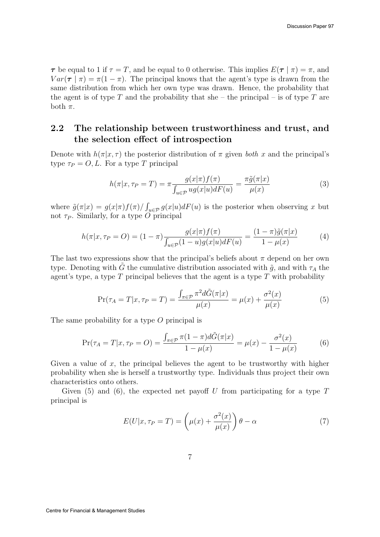$\tau$  be equal to 1 if  $\tau = T$ , and be equal to 0 otherwise. This implies  $E(\tau | \pi) = \pi$ , and  $Var(\tau | \pi) = \pi(1 - \pi)$ . The principal knows that the agent's type is drawn from the same distribution from which her own type was drawn. Hence, the probability that the agent is of type T and the probability that she – the principal – is of type T are both  $\pi$ .

### 2.2 The relationship between trustworthiness and trust, and the selection effect of introspection

Denote with  $h(\pi|x,\tau)$  the posterior distribution of  $\pi$  given both x and the principal's type  $\tau_P = O, L$ . For a type T principal

$$
h(\pi|x,\tau_P = T) = \pi \frac{g(x|\pi)f(\pi)}{\int_{u \in \mathcal{P}} ug(x|u) dF(u)} = \frac{\pi \tilde{g}(\pi|x)}{\mu(x)}
$$
(3)

where  $\tilde{g}(\pi|x) = g(x|\pi) f(\pi) / \int_{u \in \mathcal{P}} g(x|u) dF(u)$  is the posterior when observing x but not  $\tau_P$ . Similarly, for a type O principal

$$
h(\pi|x,\tau_P = O) = (1-\pi)\frac{g(x|\pi)f(\pi)}{\int_{u \in \mathcal{P}} (1-u)g(x|u)dF(u)} = \frac{(1-\pi)\tilde{g}(\pi|x)}{1-\mu(x)}
$$
(4)

The last two expressions show that the principal's beliefs about  $\pi$  depend on her own type. Denoting with G the cumulative distribution associated with  $\tilde{q}$ , and with  $\tau_A$  the agent's type, a type  $T$  principal believes that the agent is a type  $T$  with probability

$$
\Pr(\tau_A = T | x, \tau_P = T) = \frac{\int_{\pi \in \mathcal{P}} \pi^2 d\tilde{G}(\pi | x)}{\mu(x)} = \mu(x) + \frac{\sigma^2(x)}{\mu(x)}
$$
(5)

The same probability for a type O principal is

$$
\Pr(\tau_A = T | x, \tau_P = O) = \frac{\int_{\pi \in \mathcal{P}} \pi (1 - \pi) d\tilde{G}(\pi | x)}{1 - \mu(x)} = \mu(x) - \frac{\sigma^2(x)}{1 - \mu(x)} \tag{6}
$$

Given a value of  $x$ , the principal believes the agent to be trustworthy with higher probability when she is herself a trustworthy type. Individuals thus project their own characteristics onto others.

Given (5) and (6), the expected net payoff U from participating for a type  $T$ principal is

$$
E(U|x, \tau_P = T) = \left(\mu(x) + \frac{\sigma^2(x)}{\mu(x)}\right)\theta - \alpha \tag{7}
$$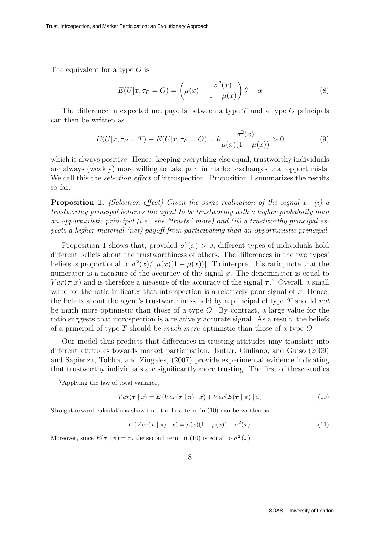The equivalent for a type  $O$  is

$$
E(U|x, \tau_P = O) = \left(\mu(x) - \frac{\sigma^2(x)}{1 - \mu(x)}\right)\theta - \alpha
$$
\n(8)

The difference in expected net payoffs between a type  $T$  and a type  $O$  principals can then be written as

$$
E(U|x, \tau_P = T) - E(U|x, \tau_P = O) = \theta \frac{\sigma^2(x)}{\mu(x)(1 - \mu(x))} > 0
$$
\n(9)

which is always positive. Hence, keeping everything else equal, trustworthy individuals are always (weakly) more willing to take part in market exchanges that opportunists. We call this the *selection effect* of introspection. Proposition 1 summarizes the results so far.

**Proposition 1.** (Selection effect) Given the same realization of the signal x: (i) a trustworthy principal believes the agent to be trustworthy with a higher probability than an opportunistic principal (i.e., she "trusts" more) and (ii) a trustworthy principal expects a higher material (net) payoff from participating than an opportunistic principal.

Proposition 1 shows that, provided  $\sigma^2(x) > 0$ , different types of individuals hold different beliefs about the trustworthiness of others. The differences in the two types' beliefs is proportional to  $\sigma^2(x) / [\mu(x) (1 - \mu(x))]$ . To interpret this ratio, note that the numerator is a measure of the accuracy of the signal  $x$ . The denominator is equal to  $Var(\tau|x)$  and is therefore a measure of the accuracy of the signal  $\tau$ .<sup>7</sup> Overall, a small value for the ratio indicates that introspection is a relatively poor signal of  $\pi$ . Hence, the beliefs about the agent's trustworthiness held by a principal of type  $T$  should not be much more optimistic than those of a type  $O$ . By contrast, a large value for the ratio suggests that introspection is a relatively accurate signal. As a result, the beliefs of a principal of type T should be *much more* optimistic than those of a type  $O$ .

Our model thus predicts that differences in trusting attitudes may translate into different attitudes towards market participation. Butler, Giuliano, and Guiso (2009) and Sapienza, Toldra, and Zingales, (2007) provide experimental evidence indicating that trustworthy individuals are significantly more trusting. The first of these studies

$$
Var(\tau | x) = E(Var(\tau | \pi) | x) + Var(E(\tau | \pi) | x)
$$
\n(10)

Straightforward calculations show that the first term in (10) can be written as

$$
E(Var(\tau | \pi) | x) = \mu(x)(1 - \mu(x)) - \sigma^{2}(x).
$$
 (11)

Moreover, since  $E(\tau | \pi) = \pi$ , the second term in (10) is equal to  $\sigma^2(x)$ .

<sup>7</sup>Applying the law of total variance,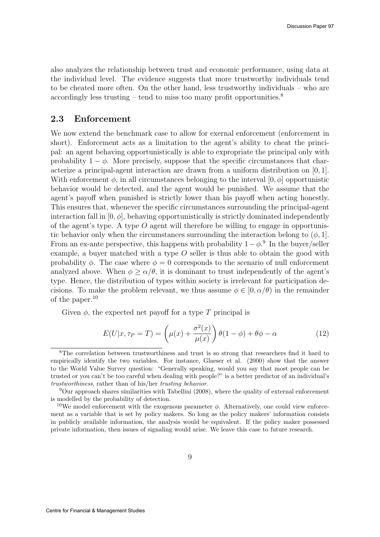also analyzes the relationship between trust and economic performance, using data at the individual level. The evidence suggests that more trustworthy individuals tend to be cheated more often. On the other hand, less trustworthy individuals – who are accordingly less trusting – tend to miss too many profit opportunities.<sup>8</sup>

### 2.3 Enforcement

We now extend the benchmark case to allow for exernal enforcement (enforcement in short). Enforcement acts as a limitation to the agent's ability to cheat the principal: an agent behaving opportunistically is able to expropriate the principal only with probability  $1 - \phi$ . More precisely, suppose that the specific circumstances that characterize a principal-agent interaction are drawn from a uniform distribution on [0, 1]. With enforcement  $\phi$ , in all circumstances belonging to the interval  $[0, \phi]$  opportunistic behavior would be detected, and the agent would be punished. We assume that the agent's payoff when punished is strictly lower than his payoff when acting honestly. This ensures that, whenever the specific circumstances surrounding the principal-agent interaction fall in  $[0, \phi]$ , behaving opportunistically is strictly dominated independently of the agent's type. A type  $O$  agent will therefore be willing to engage in opportunistic behavior only when the circumstances surrounding the interaction belong to  $(\phi, 1]$ . From an ex-ante perspective, this happens with probability  $1-\phi$ <sup>9</sup>. In the buyer/seller example, a buyer matched with a type  $O$  seller is thus able to obtain the good with probability  $\phi$ . The case where  $\phi = 0$  corresponds to the scenario of null enforcement analyzed above. When  $\phi > \alpha/\theta$ , it is dominant to trust independently of the agent's type. Hence, the distribution of types within society is irrelevant for participation decisions. To make the problem relevant, we thus assume  $\phi \in [0, \alpha/\theta)$  in the remainder of the paper.<sup>10</sup>

Given  $\phi$ , the expected net payoff for a type T principal is

$$
E(U|x, \tau_P = T) = \left(\mu(x) + \frac{\sigma^2(x)}{\mu(x)}\right)\theta(1-\phi) + \theta\phi - \alpha\tag{12}
$$

<sup>8</sup>The correlation between trustworthiness and trust is so strong that researchers find it hard to empirically identify the two variables. For instance, Glaeser et al. (2000) show that the answer to the World Value Survey question: "Generally speaking, would you say that most people can be trusted or you can't be too careful when dealing with people?" is a better predictor of an individual's trustworthiness, rather than of his/her trusting behavior.

 $9$ Our approach shares similarities with Tabellini (2008), where the quality of external enforcement is modelled by the probability of detection.

<sup>&</sup>lt;sup>10</sup>We model enforcement with the exogenous parameter  $\phi$ . Alternatively, one could view enforcement as a variable that is set by policy makers. So long as the policy makers' information consists in publicly available information, the analysis would be equivalent. If the policy maker possessed private information, then issues of signaling would arise. We leave this case to future research.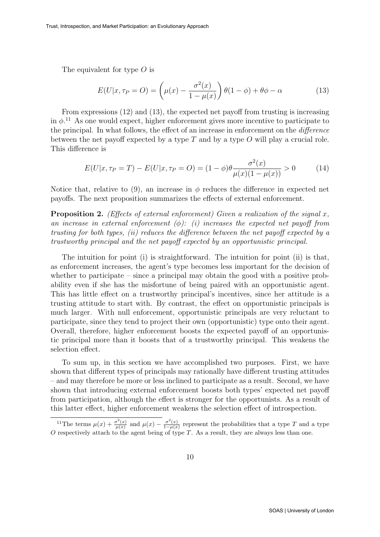The equivalent for type O is

$$
E(U|x, \tau_P = O) = \left(\mu(x) - \frac{\sigma^2(x)}{1 - \mu(x)}\right)\theta(1 - \phi) + \theta\phi - \alpha\tag{13}
$$

From expressions (12) and (13), the expected net payoff from trusting is increasing in  $\phi$ <sup>11</sup>. As one would expect, higher enforcement gives more incentive to participate to the principal. In what follows, the effect of an increase in enforcement on the difference between the net payoff expected by a type  $T$  and by a type  $O$  will play a crucial role. This difference is

$$
E(U|x, \tau_P = T) - E(U|x, \tau_P = O) = (1 - \phi)\theta \frac{\sigma^2(x)}{\mu(x)(1 - \mu(x))} > 0
$$
 (14)

Notice that, relative to (9), an increase in  $\phi$  reduces the difference in expected net payoffs. The next proposition summarizes the effects of external enforcement.

**Proposition 2.** (Effects of external enforcement) Given a realization of the signal  $x$ , an increase in external enforcement  $(\phi)$ : (i) increases the expected net payoff from trusting for both types, (ii) reduces the difference between the net payoff expected by a trustworthy principal and the net payoff expected by an opportunistic principal.

The intuition for point (i) is straightforward. The intuition for point (ii) is that, as enforcement increases, the agent's type becomes less important for the decision of whether to participate – since a principal may obtain the good with a positive probability even if she has the misfortune of being paired with an opportunistic agent. This has little effect on a trustworthy principal's incentives, since her attitude is a trusting attitude to start with. By contrast, the effect on opportunistic principals is much larger. With null enforcement, opportunistic principals are very reluctant to participate, since they tend to project their own (opportunistic) type onto their agent. Overall, therefore, higher enforcement boosts the expected payoff of an opportunistic principal more than it boosts that of a trustworthy principal. This weakens the selection effect.

To sum up, in this section we have accomplished two purposes. First, we have shown that different types of principals may rationally have different trusting attitudes – and may therefore be more or less inclined to participate as a result. Second, we have shown that introducing external enforcement boosts both types' expected net payoff from participation, although the effect is stronger for the opportunists. As a result of this latter effect, higher enforcement weakens the selection effect of introspection.

<sup>&</sup>lt;sup>11</sup>The terms  $\mu(x) + \frac{\sigma^2(x)}{\mu(x)}$  $\frac{\sigma^2(x)}{\mu(x)}$  and  $\mu(x) - \frac{\sigma^2(x)}{1-\mu(x)}$  $rac{\sigma(x)}{1-\mu(x)}$  represent the probabilities that a type T and a type  $O$  respectively attach to the agent being of type  $T$ . As a result, they are always less than one.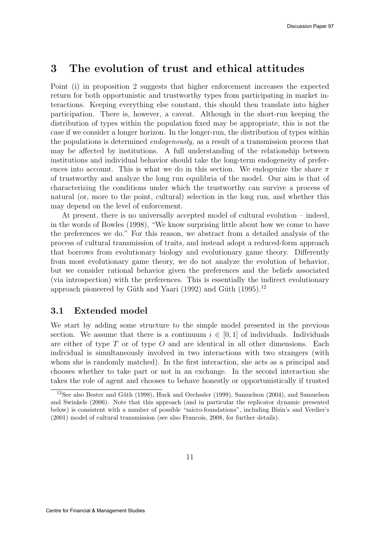### 3 The evolution of trust and ethical attitudes

Point (i) in proposition 2 suggests that higher enforcement increases the expected return for both opportunistic and trustworthy types from participating in market interactions. Keeping everything else constant, this should then translate into higher participation. There is, however, a caveat. Although in the short-run keeping the distribution of types within the population fixed may be appropriate, this is not the case if we consider a longer horizon. In the longer-run, the distribution of types within the populations is determined endogenously, as a result of a transmission process that may be affected by institutions. A full understanding of the relationship between institutions and individual behavior should take the long-term endogeneity of preferences into account. This is what we do in this section. We endogenize the share  $\pi$ of trustworthy and analyze the long run equilibria of the model. Our aim is that of characterizing the conditions under which the trustworthy can survive a process of natural (or, more to the point, cultural) selection in the long run, and whether this may depend on the level of enforcement.

At present, there is no universally accepted model of cultural evolution – indeed, in the words of Bowles (1998), "We know surprising little about how we come to have the preferences we do." For this reason, we abstract from a detailed analysis of the process of cultural transmission of traits, and instead adopt a reduced-form approach that borrows from evolutionary biology and evolutionary game theory. Differently from most evolutionary game theory, we do not analyze the evolution of behavior, but we consider rational behavior given the preferences and the beliefs associated (via introspection) with the preferences. This is essentially the indirect evolutionary approach pioneered by Güth and Yaari (1992) and Güth (1995).<sup>12</sup>

#### 3.1 Extended model

We start by adding some structure to the simple model presented in the previous section. We assume that there is a continuum  $i \in [0,1]$  of individuals. Individuals are either of type  $T$  or of type  $O$  and are identical in all other dimensions. Each individual is simultaneously involved in two interactions with two strangers (with whom she is randomly matched). In the first interaction, she acts as a principal and chooses whether to take part or not in an exchange. In the second interaction she takes the role of agent and chooses to behave honestly or opportunistically if trusted

<sup>&</sup>lt;sup>12</sup>See also Bester and Güth (1998), Huck and Oechssler (1999), Samuelson (2004), and Samuelson and Swinkels (2006). Note that this approach (and in particular the replicator dynamic presented below) is consistent with a number of possible "micro-foundations", including Bisin's and Verdier's (2001) model of cultural transmission (see also Francois, 2008, for further details).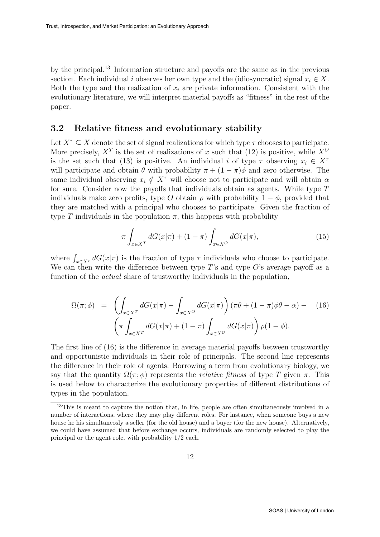by the principal.<sup>13</sup> Information structure and payoffs are the same as in the previous section. Each individual i observes her own type and the (idiosyncratic) signal  $x_i \in X$ . Both the type and the realization of  $x_i$  are private information. Consistent with the evolutionary literature, we will interpret material payoffs as "fitness" in the rest of the paper.

#### 3.2 Relative fitness and evolutionary stability

Let  $X^{\tau} \subseteq X$  denote the set of signal realizations for which type  $\tau$  chooses to participate. More precisely,  $X^T$  is the set of realizations of x such that (12) is positive, while  $X^O$ is the set such that (13) is positive. An individual i of type  $\tau$  observing  $x_i \in X^{\tau}$ will participate and obtain  $\theta$  with probability  $\pi + (1 - \pi)\phi$  and zero otherwise. The same individual observing  $x_i \notin X^{\tau}$  will choose not to participate and will obtain  $\alpha$ for sure. Consider now the payoffs that individuals obtain as agents. While type T individuals make zero profits, type O obtain  $\rho$  with probability  $1 - \phi$ , provided that they are matched with a principal who chooses to participate. Given the fraction of type T individuals in the population  $\pi$ , this happens with probability

$$
\pi \int_{x \in X^T} dG(x|\pi) + (1 - \pi) \int_{x \in X^O} dG(x|\pi), \tag{15}
$$

where  $\int_{x \in X^{\tau}} dG(x|\pi)$  is the fraction of type  $\tau$  individuals who choose to participate. We can then write the difference between type  $T$ 's and type  $O$ 's average payoff as a function of the *actual* share of trustworthy individuals in the population,

$$
\Omega(\pi;\phi) = \left(\int_{x \in X^T} dG(x|\pi) - \int_{x \in X^O} dG(x|\pi)\right) (\pi\theta + (1-\pi)\phi\theta - \alpha) - (16)
$$

$$
\left(\pi \int_{x \in X^T} dG(x|\pi) + (1-\pi) \int_{x \in X^O} dG(x|\pi)\right) \rho(1-\phi).
$$

The first line of (16) is the difference in average material payoffs between trustworthy and opportunistic individuals in their role of principals. The second line represents the difference in their role of agents. Borrowing a term from evolutionary biology, we say that the quantity  $\Omega(\pi;\phi)$  represents the *relative fitness* of type T given  $\pi$ . This is used below to characterize the evolutionary properties of different distributions of types in the population.

<sup>&</sup>lt;sup>13</sup>This is meant to capture the notion that, in life, people are often simultaneously involved in a number of interactions, where they may play different roles. For instance, when someone buys a new house he his simultaneosly a seller (for the old house) and a buyer (for the new house). Alternatively, we could have assumed that before exchange occurs, individuals are randomly selected to play the principal or the agent role, with probability 1/2 each.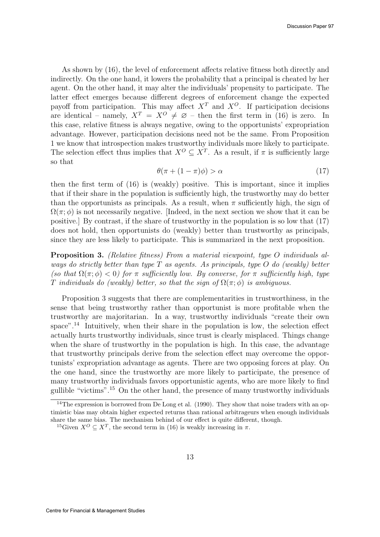As shown by (16), the level of enforcement affects relative fitness both directly and indirectly. On the one hand, it lowers the probability that a principal is cheated by her agent. On the other hand, it may alter the individuals' propensity to participate. The latter effect emerges because different degrees of enforcement change the expected payoff from participation. This may affect  $X<sup>T</sup>$  and  $X<sup>O</sup>$ . If participation decisions are identical – namely,  $X^T = X^O \neq \emptyset$  – then the first term in (16) is zero. In this case, relative fitness is always negative, owing to the opportunists' expropriation advantage. However, participation decisions need not be the same. From Proposition 1 we know that introspection makes trustworthy individuals more likely to participate. The selection effect thus implies that  $X^O \subseteq X^T$ . As a result, if  $\pi$  is sufficiently large so that

$$
\theta(\pi + (1 - \pi)\phi) > \alpha \tag{17}
$$

then the first term of (16) is (weakly) positive. This is important, since it implies that if their share in the population is sufficiently high, the trustworthy may do better than the opportunists as principals. As a result, when  $\pi$  sufficiently high, the sign of  $\Omega(\pi;\phi)$  is not necessarily negative. [Indeed, in the next section we show that it can be positive.] By contrast, if the share of trustworthy in the population is so low that (17) does not hold, then opportunists do (weakly) better than trustworthy as principals, since they are less likely to participate. This is summarized in the next proposition.

Proposition 3. (Relative fitness) From a material viewpoint, type O individuals always do strictly better than type  $T$  as agents. As principals, type  $O$  do (weakly) better (so that  $\Omega(\pi;\phi) < 0$ ) for  $\pi$  sufficiently low. By converse, for  $\pi$  sufficiently high, type T individuals do (weakly) better, so that the sign of  $\Omega(\pi;\phi)$  is ambiguous.

Proposition 3 suggests that there are complementarities in trustworthiness, in the sense that being trustworthy rather than opportunist is more profitable when the trustworthy are majoritarian. In a way, trustworthy individuals "create their own space".<sup>14</sup> Intuitively, when their share in the population is low, the selection effect actually hurts trustworthy individuals, since trust is clearly misplaced. Things change when the share of trustworthy in the population is high. In this case, the advantage that trustworthy principals derive from the selection effect may overcome the opportunists' expropriation advantage as agents. There are two opposing forces at play. On the one hand, since the trustworthy are more likely to participate, the presence of many trustworthy individuals favors opportunistic agents, who are more likely to find gullible "victims".<sup>15</sup> On the other hand, the presence of many trustworthy individuals

<sup>&</sup>lt;sup>14</sup>The expression is borrowed from De Long et al. (1990). They show that noise traders with an optimistic bias may obtain higher expected returns than rational arbitrageurs when enough individuals share the same bias. The mechanism behind of our effect is quite different, though.

<sup>&</sup>lt;sup>15</sup>Given  $X^O \subseteq X^T$ , the second term in (16) is weakly increasing in  $\pi$ .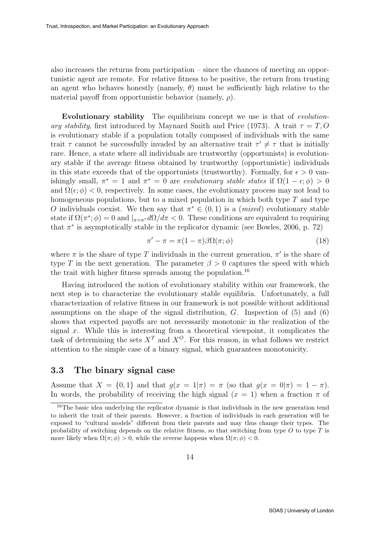also increases the returns from participation – since the chances of meeting an opportunistic agent are remote. For relative fitness to be positive, the return from trusting an agent who behaves honestly (namely,  $\theta$ ) must be sufficiently high relative to the material payoff from opportunistic behavior (namely,  $\rho$ ).

Evolutionary stability The equilibrium concept we use is that of evolutionary stability, first introduced by Maynard Smith and Price (1973). A trait  $\tau = T, O$ is evolutionary stable if a population totally composed of individuals with the same trait  $\tau$  cannot be successfully invaded by an alternative trait  $\tau' \neq \tau$  that is initially rare. Hence, a state where all individuals are trustworthy (opportunists) is evolutionary stable if the average fitness obtained by trustworthy (opportunistic) individuals in this state exceeds that of the opportunists (trustworthy). Formally, for  $\epsilon > 0$  vanishingly small,  $\pi^* = 1$  and  $\pi^* = 0$  are evolutionary stable states if  $\Omega(1 - \epsilon; \phi) > 0$ and  $\Omega(\epsilon, \phi) < 0$ , respectively. In some cases, the evolutionary process may not lead to homogeneous populations, but to a mixed population in which both type  $T$  and type O individuals coexist. We then say that  $\pi^* \in (0,1)$  is a (*mixed*) evolutionary stable state if  $\Omega(\pi^*; \phi) = 0$  and  $\vert_{\pi = \pi^*} d\Omega/d\pi < 0$ . These conditions are equivalent to requiring that  $\pi^*$  is asymptotically stable in the replicator dynamic (see Bowles, 2006, p. 72)

$$
\pi' - \pi = \pi (1 - \pi) \beta \Omega(\pi; \phi) \tag{18}
$$

where  $\pi$  is the share of type T individuals in the current generation,  $\pi'$  is the share of type T in the next generation. The parameter  $\beta > 0$  captures the speed with which the trait with higher fitness spreads among the population.<sup>16</sup>

Having introduced the notion of evolutionary stability within our framework, the next step is to characterize the evolutionary stable equilibria. Unfortunately, a full characterization of relative fitness in our framework is not possible without additional assumptions on the shape of the signal distribution,  $G$ . Inspection of  $(5)$  and  $(6)$ shows that expected payoffs are not necessarily monotonic in the realization of the signal  $x$ . While this is interesting from a theoretical viewpoint, it complicates the task of determining the sets  $X<sup>T</sup>$  and  $X<sup>O</sup>$ . For this reason, in what follows we restrict attention to the simple case of a binary signal, which guarantees monotonicity.

#### 3.3 The binary signal case

Assume that  $X = \{0, 1\}$  and that  $g(x = 1|\pi) = \pi$  (so that  $g(x = 0|\pi) = 1 - \pi$ ). In words, the probability of receiving the high signal  $(x = 1)$  when a fraction  $\pi$  of

<sup>&</sup>lt;sup>16</sup>The basic idea underlying the replicator dynamic is that individuals in the new generation tend to inherit the trait of their parents. However, a fraction of individuals in each generation will be exposed to "cultural models" different from their parents and may thus change their types. The probability of switching depends on the relative fitness, so that switching from type  $O$  to type  $T$  is more likely when  $\Omega(\pi;\phi) > 0$ , while the reverse happens when  $\Omega(\pi;\phi) < 0$ .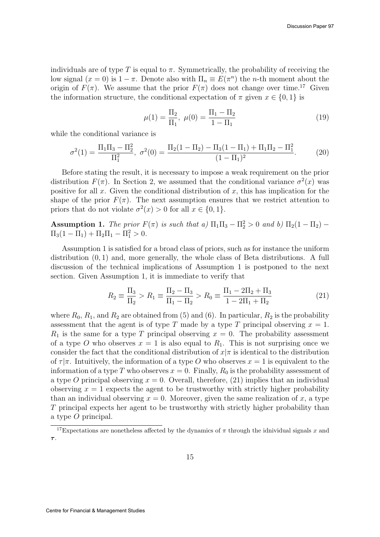individuals are of type T is equal to  $\pi$ . Symmetrically, the probability of receiving the low signal  $(x = 0)$  is  $1 - \pi$ . Denote also with  $\Pi_n \equiv E(\pi^n)$  the *n*-th moment about the origin of  $F(\pi)$ . We assume that the prior  $F(\pi)$  does not change over time.<sup>17</sup> Given the information structure, the conditional expectation of  $\pi$  given  $x \in \{0, 1\}$  is

$$
\mu(1) = \frac{\Pi_2}{\Pi_1}, \ \mu(0) = \frac{\Pi_1 - \Pi_2}{1 - \Pi_1} \tag{19}
$$

while the conditional variance is

$$
\sigma^{2}(1) = \frac{\Pi_{1}\Pi_{3} - \Pi_{2}^{2}}{\Pi_{1}^{2}}, \ \sigma^{2}(0) = \frac{\Pi_{2}(1 - \Pi_{2}) - \Pi_{3}(1 - \Pi_{1}) + \Pi_{1}\Pi_{2} - \Pi_{1}^{2}}{(1 - \Pi_{1})^{2}}.
$$
 (20)

Before stating the result, it is necessary to impose a weak requirement on the prior distribution  $F(\pi)$ . In Section 2, we assumed that the conditional variance  $\sigma^2(x)$  was positive for all x. Given the conditional distribution of x, this has implication for the shape of the prior  $F(\pi)$ . The next assumption ensures that we restrict attention to priors that do not violate  $\sigma^2(x) > 0$  for all  $x \in \{0, 1\}.$ 

**Assumption 1.** The prior  $F(\pi)$  is such that a)  $\Pi_1\Pi_3 - \Pi_2^2 > 0$  and b)  $\Pi_2(1 - \Pi_2)$  –  $\Pi_3(1 - \Pi_1) + \Pi_2 \Pi_1 - \Pi_1^2 > 0.$ 

Assumption 1 is satisfied for a broad class of priors, such as for instance the uniform distribution (0, 1) and, more generally, the whole class of Beta distributions. A full discussion of the technical implications of Assumption 1 is postponed to the next section. Given Assumption 1, it is immediate to verify that

$$
R_2 \equiv \frac{\Pi_3}{\Pi_2} > R_1 \equiv \frac{\Pi_2 - \Pi_3}{\Pi_1 - \Pi_2} > R_0 \equiv \frac{\Pi_1 - 2\Pi_2 + \Pi_3}{1 - 2\Pi_1 + \Pi_2}
$$
(21)

where  $R_0, R_1$ , and  $R_2$  are obtained from (5) and (6). In particular,  $R_2$  is the probability assessment that the agent is of type T made by a type T principal observing  $x = 1$ .  $R_1$  is the same for a type T principal observing  $x = 0$ . The probability assessment of a type O who observes  $x = 1$  is also equal to  $R_1$ . This is not surprising once we consider the fact that the conditional distribution of  $x|\pi$  is identical to the distribution of  $\tau | \pi$ . Intuitively, the information of a type O who observes  $x = 1$  is equivalent to the information of a type T who observes  $x = 0$ . Finally,  $R_0$  is the probability assessment of a type O principal observing  $x = 0$ . Overall, therefore, (21) implies that an individual observing  $x = 1$  expects the agent to be trustworthy with strictly higher probability than an individual observing  $x = 0$ . Moreover, given the same realization of x, a type T principal expects her agent to be trustworthy with strictly higher probability than a type O principal.

<sup>&</sup>lt;sup>17</sup>Expectations are nonetheless affected by the dynamics of  $\pi$  through the idnividual signals x and τ .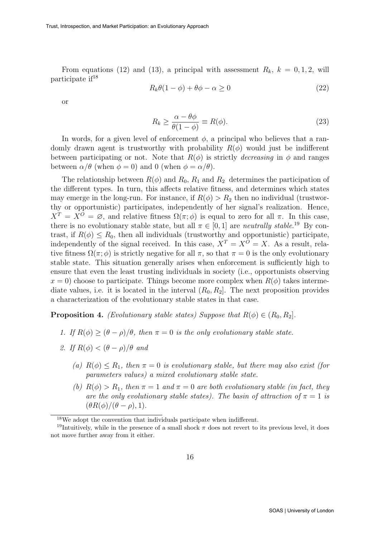From equations (12) and (13), a principal with assessment  $R_k$ ,  $k = 0, 1, 2$ , will participate if<sup>18</sup>

$$
R_k \theta(1 - \phi) + \theta \phi - \alpha \ge 0 \tag{22}
$$

or

$$
R_k \ge \frac{\alpha - \theta \phi}{\theta (1 - \phi)} \equiv R(\phi). \tag{23}
$$

In words, for a given level of enforcement  $\phi$ , a principal who believes that a randomly drawn agent is trustworthy with probability  $R(\phi)$  would just be indifferent between participating or not. Note that  $R(\phi)$  is strictly *decreasing* in  $\phi$  and ranges between  $\alpha/\theta$  (when  $\phi = 0$ ) and 0 (when  $\phi = \alpha/\theta$ ).

The relationship between  $R(\phi)$  and  $R_0$ ,  $R_1$  and  $R_2$  determines the participation of the different types. In turn, this affects relative fitness, and determines which states may emerge in the long-run. For instance, if  $R(\phi) > R_2$  then no individual (trustworthy or opportunistic) participates, independently of her signal's realization. Hence,  $X^T = X^O = \emptyset$ , and relative fitness  $\Omega(\pi;\phi)$  is equal to zero for all  $\pi$ . In this case, there is no evolutionary stable state, but all  $\pi \in [0, 1]$  are *neutrally stable*.<sup>19</sup> By contrast, if  $R(\phi) \leq R_0$ , then all individuals (trustworthy and opportunistic) participate, independently of the signal received. In this case,  $X^T = X^O = X$ . As a result, relative fitness  $\Omega(\pi;\phi)$  is strictly negative for all  $\pi$ , so that  $\pi=0$  is the only evolutionary stable state. This situation generally arises when enforcement is sufficiently high to ensure that even the least trusting individuals in society (i.e., opportunists observing  $x = 0$ ) choose to participate. Things become more complex when  $R(\phi)$  takes intermediate values, i.e. it is located in the interval  $(R_0, R_2]$ . The next proposition provides a characterization of the evolutionary stable states in that case.

**Proposition 4.** (Evolutionary stable states) Suppose that  $R(\phi) \in (R_0, R_2]$ .

- 1. If  $R(\phi) \geq (\theta \rho)/\theta$ , then  $\pi = 0$  is the only evolutionary stable state.
- 2. If  $R(\phi) < (\theta \rho)/\theta$  and
	- (a)  $R(\phi) \leq R_1$ , then  $\pi = 0$  is evolutionary stable, but there may also exist (for parameters values) a mixed evolutionary stable state.
	- (b)  $R(\phi) > R_1$ , then  $\pi = 1$  and  $\pi = 0$  are both evolutionary stable (in fact, they are the only evolutionary stable states). The basin of attraction of  $\pi = 1$  is  $(\theta R(\phi)/(\theta - \rho), 1).$

<sup>18</sup>We adopt the convention that individuals participate when indifferent.

<sup>&</sup>lt;sup>19</sup>Intuitively, while in the presence of a small shock  $\pi$  does not revert to its previous level, it does not move further away from it either.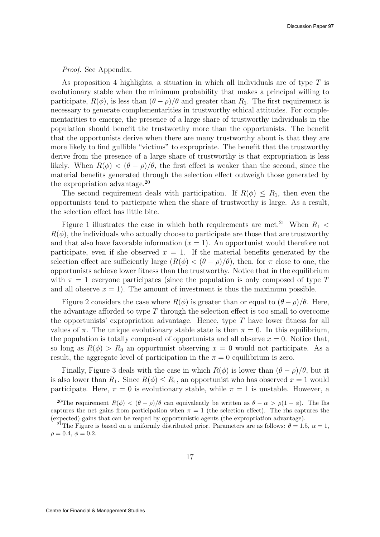Proof. See Appendix.

As proposition 4 highlights, a situation in which all individuals are of type  $T$  is evolutionary stable when the minimum probability that makes a principal willing to participate,  $R(\phi)$ , is less than  $(\theta - \rho)/\theta$  and greater than  $R_1$ . The first requirement is necessary to generate complementarities in trustworthy ethical attitudes. For complementarities to emerge, the presence of a large share of trustworthy individuals in the population should benefit the trustworthy more than the opportunists. The benefit that the opportunists derive when there are many trustworthy about is that they are more likely to find gullible "victims" to expropriate. The benefit that the trustworthy derive from the presence of a large share of trustworthy is that expropriation is less likely. When  $R(\phi) < (\theta - \rho)/\theta$ , the first effect is weaker than the second, since the material benefits generated through the selection effect outweigh those generated by the expropriation advantage.<sup>20</sup>

The second requirement deals with participation. If  $R(\phi) \leq R_1$ , then even the opportunists tend to participate when the share of trustworthy is large. As a result, the selection effect has little bite.

Figure 1 illustrates the case in which both requirements are met.<sup>21</sup> When  $R_1$  <  $R(\phi)$ , the individuals who actually choose to participate are those that are trustworthy and that also have favorable information  $(x = 1)$ . An opportunist would therefore not participate, even if she observed  $x = 1$ . If the material benefits generated by the selection effect are sufficiently large  $(R(\phi) < (\theta - \rho)/\theta)$ , then, for  $\pi$  close to one, the opportunists achieve lower fitness than the trustworthy. Notice that in the equilibrium with  $\pi = 1$  everyone participates (since the population is only composed of type T and all observe  $x = 1$ . The amount of investment is thus the maximum possible.

Figure 2 considers the case where  $R(\phi)$  is greater than or equal to  $(\theta - \rho)/\theta$ . Here, the advantage afforded to type  $T$  through the selection effect is too small to overcome the opportunists' expropriation advantage. Hence, type  $T$  have lower fitness for all values of  $\pi$ . The unique evolutionary stable state is then  $\pi = 0$ . In this equilibrium, the population is totally composed of opportunists and all observe  $x = 0$ . Notice that, so long as  $R(\phi) > R_0$  an opportunist observing  $x = 0$  would not participate. As a result, the aggregate level of participation in the  $\pi = 0$  equilibrium is zero.

Finally, Figure 3 deals with the case in which  $R(\phi)$  is lower than  $(\theta - \rho)/\theta$ , but it is also lower than  $R_1$ . Since  $R(\phi) \leq R_1$ , an opportunist who has observed  $x = 1$  would participate. Here,  $\pi = 0$  is evolutionary stable, while  $\pi = 1$  is unstable. However, a

<sup>&</sup>lt;sup>20</sup>The requirement  $R(\phi) < (\theta - \rho)/\theta$  can equivalently be written as  $\theta - \alpha > \rho(1 - \phi)$ . The lhs captures the net gains from participation when  $\pi = 1$  (the selection effect). The rhs captures the (expected) gains that can be reaped by opportunistic agents (the expropriation advantage).

<sup>&</sup>lt;sup>21</sup>The Figure is based on a uniformly distributed prior. Parameters are as follows:  $\theta = 1.5$ ,  $\alpha = 1$ ,  $\rho = 0.4, \phi = 0.2.$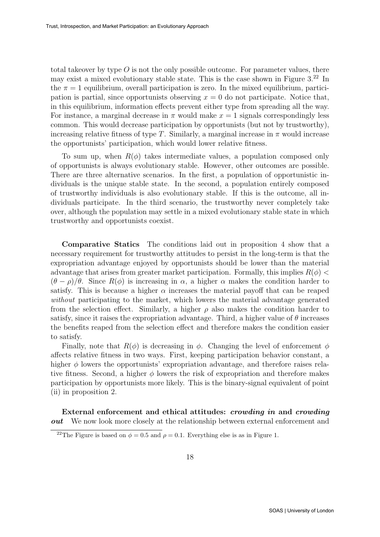total takeover by type  $O$  is not the only possible outcome. For parameter values, there may exist a mixed evolutionary stable state. This is the case shown in Figure  $3.^{22}$  In the  $\pi = 1$  equilibrium, overall participation is zero. In the mixed equilibrium, participation is partial, since opportunists observing  $x = 0$  do not participate. Notice that, in this equilibrium, information effects prevent either type from spreading all the way. For instance, a marginal decrease in  $\pi$  would make  $x = 1$  signals correspondingly less common. This would decrease participation by opportunists (but not by trustworthy), increasing relative fitness of type T. Similarly, a marginal increase in  $\pi$  would increase the opportunists' participation, which would lower relative fitness.

To sum up, when  $R(\phi)$  takes intermediate values, a population composed only of opportunists is always evolutionary stable. However, other outcomes are possible. There are three alternative scenarios. In the first, a population of opportunistic individuals is the unique stable state. In the second, a population entirely composed of trustworthy individuals is also evolutionary stable. If this is the outcome, all individuals participate. In the third scenario, the trustworthy never completely take over, although the population may settle in a mixed evolutionary stable state in which trustworthy and opportunists coexist.

Comparative Statics The conditions laid out in proposition 4 show that a necessary requirement for trustworthy attitudes to persist in the long-term is that the expropriation advantage enjoyed by opportunists should be lower than the material advantage that arises from greater market participation. Formally, this implies  $R(\phi)$  <  $(\theta - \rho)/\theta$ . Since  $R(\phi)$  is increasing in  $\alpha$ , a higher  $\alpha$  makes the condition harder to satisfy. This is because a higher  $\alpha$  increases the material payoff that can be reaped without participating to the market, which lowers the material advantage generated from the selection effect. Similarly, a higher  $\rho$  also makes the condition harder to satisfy, since it raises the expropriation advantage. Third, a higher value of  $\theta$  increases the benefits reaped from the selection effect and therefore makes the condition easier to satisfy.

Finally, note that  $R(\phi)$  is decreasing in  $\phi$ . Changing the level of enforcement  $\phi$ affects relative fitness in two ways. First, keeping participation behavior constant, a higher  $\phi$  lowers the opportunists' expropriation advantage, and therefore raises relative fitness. Second, a higher  $\phi$  lowers the risk of expropriation and therefore makes participation by opportunists more likely. This is the binary-signal equivalent of point (ii) in proposition 2.

External enforcement and ethical attitudes: crowding in and crowding *out* We now look more closely at the relationship between external enforcement and

<sup>&</sup>lt;sup>22</sup>The Figure is based on  $\phi = 0.5$  and  $\rho = 0.1$ . Everything else is as in Figure 1.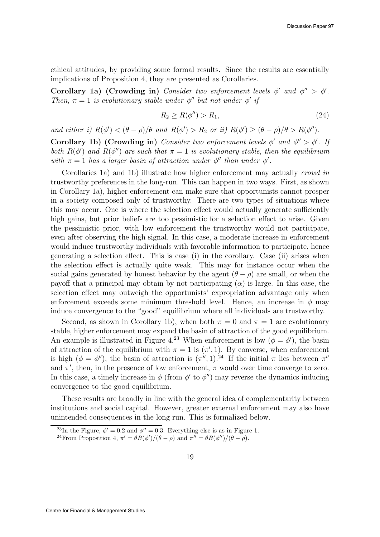ethical attitudes, by providing some formal results. Since the results are essentially implications of Proposition 4, they are presented as Corollaries.

Corollary 1a) (Crowding in) Consider two enforcement levels  $\phi'$  and  $\phi'' > \phi'$ . Then,  $\pi = 1$  is evolutionary stable under  $\phi''$  but not under  $\phi'$  if

$$
R_2 \ge R(\phi'') > R_1,\tag{24}
$$

and either i)  $R(\phi') < (\theta - \rho)/\theta$  and  $R(\phi') > R_2$  or ii)  $R(\phi') \geq (\theta - \rho)/\theta > R(\phi'')$ .

Corollary 1b) (Crowding in) Consider two enforcement levels  $\phi'$  and  $\phi'' > \phi'$ . If both  $R(\phi')$  and  $R(\phi'')$  are such that  $\pi = 1$  is evolutionary stable, then the equilibrium with  $\pi = 1$  has a larger basin of attraction under  $\phi''$  than under  $\phi'$ .

Corollaries 1a) and 1b) illustrate how higher enforcement may actually crowd in trustworthy preferences in the long-run. This can happen in two ways. First, as shown in Corollary 1a), higher enforcement can make sure that opportunists cannot prosper in a society composed only of trustworthy. There are two types of situations where this may occur. One is where the selection effect would actually generate sufficiently high gains, but prior beliefs are too pessimistic for a selection effect to arise. Given the pessimistic prior, with low enforcement the trustworthy would not participate, even after observing the high signal. In this case, a moderate increase in enforcement would induce trustworthy individuals with favorable information to participate, hence generating a selection effect. This is case (i) in the corollary. Case (ii) arises when the selection effect is actually quite weak. This may for instance occur when the social gains generated by honest behavior by the agent  $(\theta - \rho)$  are small, or when the payoff that a principal may obtain by not participating  $(\alpha)$  is large. In this case, the selection effect may outweigh the opportunists' expropriation advantage only when enforcement exceeds some minimum threshold level. Hence, an increase in  $\phi$  may induce convergence to the "good" equilibrium where all individuals are trustworthy.

Second, as shown in Corollary 1b), when both  $\pi = 0$  and  $\pi = 1$  are evolutionary stable, higher enforcement may expand the basin of attraction of the good equilibrium. An example is illustrated in Figure 4.<sup>23</sup> When enforcement is low  $(\phi = \phi')$ , the basin of attraction of the equilibrium with  $\pi = 1$  is  $(\pi', 1)$ . By converse, when enforcement is high  $(\phi = \phi'')$ , the basin of attraction is  $(\pi'', 1)$ .<sup>24</sup> If the initial  $\pi$  lies between  $\pi''$ and  $\pi'$ , then, in the presence of low enforcement,  $\pi$  would over time converge to zero. In this case, a timely increase in  $\phi$  (from  $\phi'$  to  $\phi''$ ) may reverse the dynamics inducing convergence to the good equilibrium.

These results are broadly in line with the general idea of complementarity between institutions and social capital. However, greater external enforcement may also have unintended consequences in the long run. This is formalized below.

<sup>&</sup>lt;sup>23</sup>In the Figure,  $\phi' = 0.2$  and  $\phi'' = 0.3$ . Everything else is as in Figure 1.

<sup>&</sup>lt;sup>24</sup> From Proposition 4,  $\pi' = \theta R(\phi')/(\theta - \rho)$  and  $\pi'' = \theta R(\phi'')/(\theta - \rho)$ .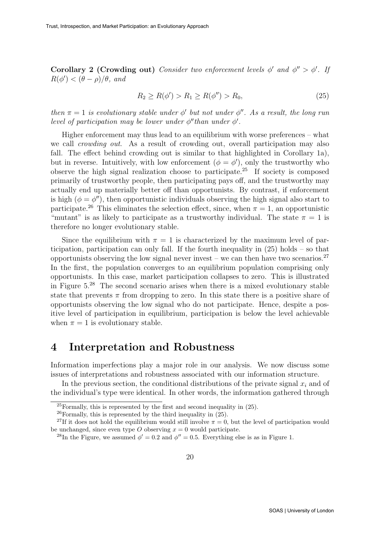Corollary 2 (Crowding out) Consider two enforcement levels  $\phi'$  and  $\phi'' > \phi'$ . If  $R(\phi') < (\theta - \rho)/\theta$ , and

$$
R_2 \ge R(\phi') > R_1 \ge R(\phi'') > R_0,\tag{25}
$$

then  $\pi = 1$  is evolutionary stable under  $\phi'$  but not under  $\phi''$ . As a result, the long run level of participation may be lower under  $\phi''$  than under  $\phi'$ .

Higher enforcement may thus lead to an equilibrium with worse preferences – what we call crowding out. As a result of crowding out, overall participation may also fall. The effect behind crowding out is similar to that highlighted in Corollary 1a), but in reverse. Intuitively, with low enforcement  $(\phi = \phi')$ , only the trustworthy who observe the high signal realization choose to participate.<sup>25</sup> If society is composed primarily of trustworthy people, then participating pays off, and the trustworthy may actually end up materially better off than opportunists. By contrast, if enforcement is high  $(\phi = \phi'')$ , then opportunistic individuals observing the high signal also start to participate.<sup>26</sup> This eliminates the selection effect, since, when  $\pi = 1$ , an opportunistic "mutant" is as likely to participate as a trustworthy individual. The state  $\pi = 1$  is therefore no longer evolutionary stable.

Since the equilibrium with  $\pi = 1$  is characterized by the maximum level of participation, participation can only fall. If the fourth inequality in (25) holds – so that opportunists observing the low signal never invest – we can then have two scenarios.<sup>27</sup> In the first, the population converges to an equilibrium population comprising only opportunists. In this case, market participation collapses to zero. This is illustrated in Figure  $5^{28}$  The second scenario arises when there is a mixed evolutionary stable state that prevents  $\pi$  from dropping to zero. In this state there is a positive share of opportunists observing the low signal who do not participate. Hence, despite a positive level of participation in equilibrium, participation is below the level achievable when  $\pi = 1$  is evolutionary stable.

### 4 Interpretation and Robustness

Information imperfections play a major role in our analysis. We now discuss some issues of interpretations and robustness associated with our information structure.

In the previous section, the conditional distributions of the private signal  $x_i$  and of the individual's type were identical. In other words, the information gathered through

 $^{25}$ Formally, this is represented by the first and second inequality in (25).

 $^{26}$ Formally, this is represented by the third inequality in  $(25)$ .

<sup>&</sup>lt;sup>27</sup>If it does not hold the equilibrium would still involve  $\pi = 0$ , but the level of participation would be unchanged, since even type O observing  $x = 0$  would participate.

<sup>&</sup>lt;sup>28</sup>In the Figure, we assumed  $\phi' = 0.2$  and  $\phi'' = 0.5$ . Everything else is as in Figure 1.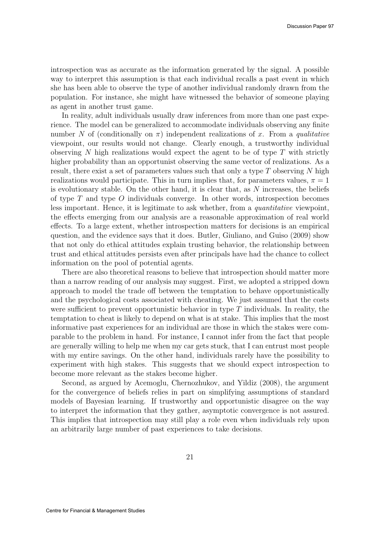introspection was as accurate as the information generated by the signal. A possible way to interpret this assumption is that each individual recalls a past event in which she has been able to observe the type of another individual randomly drawn from the population. For instance, she might have witnessed the behavior of someone playing as agent in another trust game.

In reality, adult individuals usually draw inferences from more than one past experience. The model can be generalized to accommodate individuals observing any finite number N of (conditionally on  $\pi$ ) independent realizations of x. From a qualitative viewpoint, our results would not change. Clearly enough, a trustworthy individual observing N high realizations would expect the agent to be of type  $T$  with strictly higher probability than an opportunist observing the same vector of realizations. As a result, there exist a set of parameters values such that only a type  $T$  observing  $N$  high realizations would participate. This in turn implies that, for parameters values,  $\pi = 1$ is evolutionary stable. On the other hand, it is clear that, as  $N$  increases, the beliefs of type  $T$  and type  $O$  individuals converge. In other words, introspection becomes less important. Hence, it is legitimate to ask whether, from a quantitative viewpoint, the effects emerging from our analysis are a reasonable approximation of real world effects. To a large extent, whether introspection matters for decisions is an empirical question, and the evidence says that it does. Butler, Giuliano, and Guiso (2009) show that not only do ethical attitudes explain trusting behavior, the relationship between trust and ethical attitudes persists even after principals have had the chance to collect information on the pool of potential agents.

There are also theoretical reasons to believe that introspection should matter more than a narrow reading of our analysis may suggest. First, we adopted a stripped down approach to model the trade off between the temptation to behave opportunistically and the psychological costs associated with cheating. We just assumed that the costs were sufficient to prevent opportunistic behavior in type  $T$  individuals. In reality, the temptation to cheat is likely to depend on what is at stake. This implies that the most informative past experiences for an individual are those in which the stakes were comparable to the problem in hand. For instance, I cannot infer from the fact that people are generally willing to help me when my car gets stuck, that I can entrust most people with my entire savings. On the other hand, individuals rarely have the possibility to experiment with high stakes. This suggests that we should expect introspection to become more relevant as the stakes become higher.

Second, as argued by Acemoglu, Chernozhukov, and Yildiz (2008), the argument for the convergence of beliefs relies in part on simplifying assumptions of standard models of Bayesian learning. If trustworthy and opportunistic disagree on the way to interpret the information that they gather, asymptotic convergence is not assured. This implies that introspection may still play a role even when individuals rely upon an arbitrarily large number of past experiences to take decisions.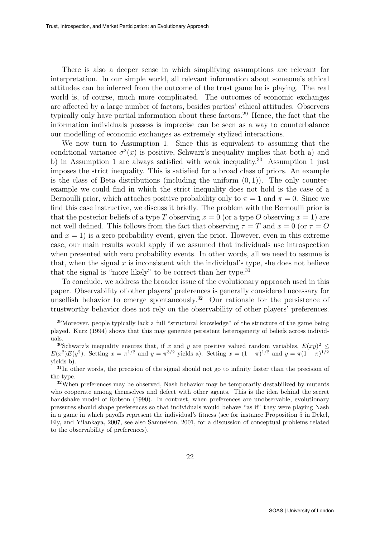There is also a deeper sense in which simplifying assumptions are relevant for interpretation. In our simple world, all relevant information about someone's ethical attitudes can be inferred from the outcome of the trust game he is playing. The real world is, of course, much more complicated. The outcomes of economic exchanges are affected by a large number of factors, besides parties' ethical attitudes. Observers typically only have partial information about these factors.<sup>29</sup> Hence, the fact that the information individuals possess is imprecise can be seen as a way to counterbalance our modelling of economic exchanges as extremely stylized interactions.

We now turn to Assumption 1. Since this is equivalent to assuming that the conditional variance  $\sigma^2(x)$  is positive, Schwarz's inequality implies that both a) and b) in Assumption 1 are always satisfied with weak inequality.<sup>30</sup> Assumption 1 just imposes the strict inequality. This is satisfied for a broad class of priors. An example is the class of Beta distributions (including the uniform  $(0, 1)$ ). The only counterexample we could find in which the strict inequality does not hold is the case of a Bernoulli prior, which attaches positive probability only to  $\pi = 1$  and  $\pi = 0$ . Since we find this case instructive, we discuss it briefly. The problem with the Bernoulli prior is that the posterior beliefs of a type T observing  $x = 0$  (or a type O observing  $x = 1$ ) are not well defined. This follows from the fact that observing  $\tau = T$  and  $x = 0$  (or  $\tau = O$ ) and  $x = 1$ ) is a zero probability event, given the prior. However, even in this extreme case, our main results would apply if we assumed that individuals use introspection when presented with zero probability events. In other words, all we need to assume is that, when the signal  $x$  is inconsistent with the individual's type, she does not believe that the signal is "more likely" to be correct than her type.<sup>31</sup>

To conclude, we address the broader issue of the evolutionary approach used in this paper. Observability of other players' preferences is generally considered necessary for unselfish behavior to emerge spontaneously.<sup>32</sup> Our rationale for the persistence of trustworthy behavior does not rely on the observability of other players' preferences.

<sup>&</sup>lt;sup>29</sup>Moreover, people typically lack a full "structural knowledge" of the structure of the game being played. Kurz (1994) shows that this may generate persistent heterogeneity of beliefs across individuals.

<sup>&</sup>lt;sup>30</sup>Schwarz's inequality ensures that, if x and y are positive valued random variables,  $E(xy)^2 \leq$  $E(x^2)E(y^2)$ . Setting  $x = \pi^{1/2}$  and  $y = \pi^{3/2}$  yields a). Setting  $x = (1 - \pi)^{1/2}$  and  $y = \pi(1 - \pi)^{1/2}$ yields b).

 $31$ In other words, the precision of the signal should not go to infinity faster than the precision of the type.

 $32$ When preferences may be observed, Nash behavior may be temporarily destabilized by mutants who cooperate among themselves and defect with other agents. This is the idea behind the secret handshake model of Robson (1990). In contrast, when preferences are unobservable, evolutionary pressures should shape preferences so that individuals would behave "as if" they were playing Nash in a game in which payoffs represent the individual's fitness (see for instance Proposition 5 in Dekel, Ely, and Yilankaya, 2007, see also Samuelson, 2001, for a discussion of conceptual problems related to the observability of preferences).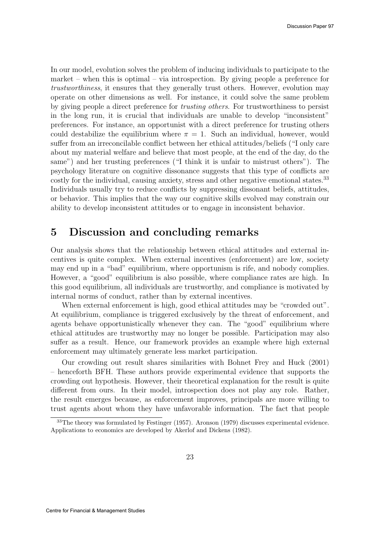In our model, evolution solves the problem of inducing individuals to participate to the market – when this is optimal – via introspection. By giving people a preference for trustworthiness, it ensures that they generally trust others. However, evolution may operate on other dimensions as well. For instance, it could solve the same problem by giving people a direct preference for trusting others. For trustworthiness to persist in the long run, it is crucial that individuals are unable to develop "inconsistent" preferences. For instance, an opportunist with a direct preference for trusting others could destabilize the equilibrium where  $\pi = 1$ . Such an individual, however, would suffer from an irreconcilable conflict between her ethical attitudes/beliefs ("I only care about my material welfare and believe that most people, at the end of the day, do the same") and her trusting preferences ("I think it is unfair to mistrust others"). The psychology literature on cognitive dissonance suggests that this type of conflicts are costly for the individual, causing anxiety, stress and other negative emotional states.<sup>33</sup> Individuals usually try to reduce conflicts by suppressing dissonant beliefs, attitudes, or behavior. This implies that the way our cognitive skills evolved may constrain our ability to develop inconsistent attitudes or to engage in inconsistent behavior.

### 5 Discussion and concluding remarks

Our analysis shows that the relationship between ethical attitudes and external incentives is quite complex. When external incentives (enforcement) are low, society may end up in a "bad" equilibrium, where opportunism is rife, and nobody complies. However, a "good" equilibrium is also possible, where compliance rates are high. In this good equilibrium, all individuals are trustworthy, and compliance is motivated by internal norms of conduct, rather than by external incentives.

When external enforcement is high, good ethical attitudes may be "crowded out". At equilibrium, compliance is triggered exclusively by the threat of enforcement, and agents behave opportunistically whenever they can. The "good" equilibrium where ethical attitudes are trustworthy may no longer be possible. Participation may also suffer as a result. Hence, our framework provides an example where high external enforcement may ultimately generate less market participation.

Our crowding out result shares similarities with Bohnet Frey and Huck (2001) – henceforth BFH. These authors provide experimental evidence that supports the crowding out hypothesis. However, their theoretical explanation for the result is quite different from ours. In their model, introspection does not play any role. Rather, the result emerges because, as enforcement improves, principals are more willing to trust agents about whom they have unfavorable information. The fact that people

<sup>33</sup>The theory was formulated by Festinger (1957). Aronson (1979) discusses experimental evidence. Applications to economics are developed by Akerlof and Dickens (1982).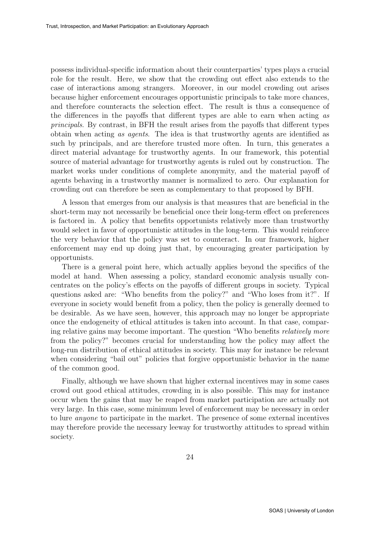possess individual-specific information about their counterparties' types plays a crucial role for the result. Here, we show that the crowding out effect also extends to the case of interactions among strangers. Moreover, in our model crowding out arises because higher enforcement encourages opportunistic principals to take more chances, and therefore counteracts the selection effect. The result is thus a consequence of the differences in the payoffs that different types are able to earn when acting as principals. By contrast, in BFH the result arises from the payoffs that different types obtain when acting as agents. The idea is that trustworthy agents are identified as such by principals, and are therefore trusted more often. In turn, this generates a direct material advantage for trustworthy agents. In our framework, this potential source of material advantage for trustworthy agents is ruled out by construction. The market works under conditions of complete anonymity, and the material payoff of agents behaving in a trustworthy manner is normalized to zero. Our explanation for crowding out can therefore be seen as complementary to that proposed by BFH.

A lesson that emerges from our analysis is that measures that are beneficial in the short-term may not necessarily be beneficial once their long-term effect on preferences is factored in. A policy that benefits opportunists relatively more than trustworthy would select in favor of opportunistic attitudes in the long-term. This would reinforce the very behavior that the policy was set to counteract. In our framework, higher enforcement may end up doing just that, by encouraging greater participation by opportunists.

There is a general point here, which actually applies beyond the specifics of the model at hand. When assessing a policy, standard economic analysis usually concentrates on the policy's effects on the payoffs of different groups in society. Typical questions asked are: "Who benefits from the policy?" and "Who loses from it?". If everyone in society would benefit from a policy, then the policy is generally deemed to be desirable. As we have seen, however, this approach may no longer be appropriate once the endogeneity of ethical attitudes is taken into account. In that case, comparing relative gains may become important. The question "Who benefits relatively more from the policy?" becomes crucial for understanding how the policy may affect the long-run distribution of ethical attitudes in society. This may for instance be relevant when considering "bail out" policies that forgive opportunistic behavior in the name of the common good.

Finally, although we have shown that higher external incentives may in some cases crowd out good ethical attitudes, crowding in is also possible. This may for instance occur when the gains that may be reaped from market participation are actually not very large. In this case, some minimum level of enforcement may be necessary in order to lure anyone to participate in the market. The presence of some external incentives may therefore provide the necessary leeway for trustworthy attitudes to spread within society.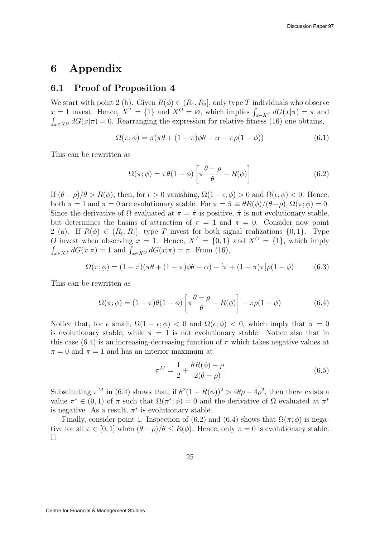### 6 Appendix

#### 6.1 Proof of Proposition 4

We start with point 2 (b). Given  $R(\phi) \in (R_1, R_2]$ , only type T individuals who observe  $x = 1$  invest. Hence,  $X^T = \{1\}$  and  $X^O = \emptyset$ , which implies  $\int_{x \in X} dG(x|\pi) = \pi$  and  $\int_{x \in X^O} dG(x|\pi) = 0$ . Rearranging the expression for relative fitness (16) one obtains,

$$
\Omega(\pi;\phi) = \pi(\pi\theta + (1-\pi)\phi\theta - \alpha - \pi\rho(1-\phi))
$$
\n(6.1)

This can be rewritten as

$$
\Omega(\pi;\phi) = \pi\theta(1-\phi)\left[\pi\frac{\theta-\rho}{\theta} - R(\phi)\right]
$$
\n(6.2)

If  $(\theta - \rho)/\theta > R(\phi)$ , then, for  $\epsilon > 0$  vanishing,  $\Omega(1 - \epsilon; \phi) > 0$  and  $\Omega(\epsilon; \phi) < 0$ . Hence, both  $\pi = 1$  and  $\pi = 0$  are evolutionary stable. For  $\pi = \hat{\pi} \equiv \theta R(\phi)/(\theta - \rho)$ ,  $\Omega(\pi; \phi) = 0$ . Since the derivative of  $\Omega$  evaluated at  $\pi = \hat{\pi}$  is positive,  $\hat{\pi}$  is not evolutionary stable, but determines the basins of attraction of  $\pi = 1$  and  $\pi = 0$ . Consider now point 2 (a). If  $R(\phi) \in (R_0, R_1]$ , type T invest for both signal realizations  $\{0, 1\}$ . Type O invest when observing  $x = 1$ . Hence,  $X^T = \{0, 1\}$  and  $X^O = \{1\}$ , which imply  $\int_{x \in X^T} dG(x|\pi) = 1$  and  $\int_{x \in X^O} dG(x|\pi) = \pi$ . From (16),

$$
\Omega(\pi; \phi) = (1 - \pi)(\pi \theta + (1 - \pi)\phi \theta - \alpha) - [\pi + (1 - \pi)\pi]\rho(1 - \phi)
$$
(6.3)

This can be rewritten as

$$
\Omega(\pi;\phi) = (1-\pi)\theta(1-\phi)\left[\pi\frac{\theta-\rho}{\theta} - R(\phi)\right] - \pi\rho(1-\phi) \tag{6.4}
$$

Notice that, for  $\epsilon$  small,  $\Omega(1 - \epsilon; \phi) < 0$  and  $\Omega(\epsilon; \phi) < 0$ , which imply that  $\pi = 0$ is evolutionary stable, while  $\pi = 1$  is not evolutionary stable. Notice also that in this case  $(6.4)$  is an increasing-decreasing function of  $\pi$  which takes negative values at  $\pi = 0$  and  $\pi = 1$  and has an interior maximum at

$$
\pi^M = \frac{1}{2} + \frac{\theta R(\phi) - \rho}{2(\theta - \rho)}\tag{6.5}
$$

Substituting  $\pi^M$  in (6.4) shows that, if  $\theta^2(1 - R(\phi))^2 > 4\theta\rho - 4\rho^2$ , then there exists a value  $\pi^* \in (0,1)$  of  $\pi$  such that  $\Omega(\pi^*; \phi) = 0$  and the derivative of  $\Omega$  evaluated at  $\pi^*$ is negative. As a result,  $\pi^*$  is evolutionary stable.

Finally, consider point 1. Inspection of (6.2) and (6.4) shows that  $\Omega(\pi;\phi)$  is negative for all  $\pi \in [0, 1]$  when  $(\theta - \rho)/\theta \le R(\phi)$ . Hence, only  $\pi = 0$  is evolutionary stable.  $\Box$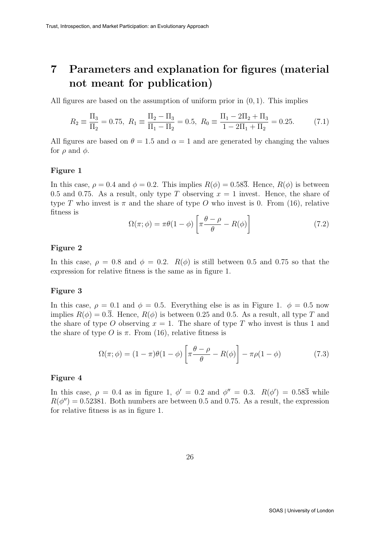## 7 Parameters and explanation for figures (material not meant for publication)

All figures are based on the assumption of uniform prior in  $(0, 1)$ . This implies

$$
R_2 \equiv \frac{\Pi_3}{\Pi_2} = 0.75, \ R_1 \equiv \frac{\Pi_2 - \Pi_3}{\Pi_1 - \Pi_2} = 0.5, \ R_0 \equiv \frac{\Pi_1 - 2\Pi_2 + \Pi_3}{1 - 2\Pi_1 + \Pi_2} = 0.25. \tag{7.1}
$$

All figures are based on  $\theta = 1.5$  and  $\alpha = 1$  and are generated by changing the values for  $\rho$  and  $\phi$ .

#### Figure 1

In this case,  $\rho = 0.4$  and  $\phi = 0.2$ . This implies  $R(\phi) = 0.58\overline{3}$ . Hence,  $R(\phi)$  is between 0.5 and 0.75. As a result, only type T observing  $x = 1$  invest. Hence, the share of type T who invest is  $\pi$  and the share of type O who invest is 0. From (16), relative fitness is

$$
\Omega(\pi;\phi) = \pi\theta(1-\phi)\left[\pi\frac{\theta-\rho}{\theta} - R(\phi)\right]
$$
\n(7.2)

#### Figure 2

In this case,  $\rho = 0.8$  and  $\phi = 0.2$ .  $R(\phi)$  is still between 0.5 and 0.75 so that the expression for relative fitness is the same as in figure 1.

#### Figure 3

In this case,  $\rho = 0.1$  and  $\phi = 0.5$ . Everything else is as in Figure 1.  $\phi = 0.5$  now implies  $R(\phi) = 0.\overline{3}$ . Hence,  $R(\phi)$  is between 0.25 and 0.5. As a result, all type T and the share of type O observing  $x = 1$ . The share of type T who invest is thus 1 and the share of type O is  $\pi$ . From (16), relative fitness is

$$
\Omega(\pi;\phi) = (1-\pi)\theta(1-\phi)\left[\pi\frac{\theta-\rho}{\theta} - R(\phi)\right] - \pi\rho(1-\phi) \tag{7.3}
$$

#### Figure 4

In this case,  $\rho = 0.4$  as in figure 1,  $\phi' = 0.2$  and  $\phi'' = 0.3$ .  $R(\phi') = 0.58\overline{3}$  while  $R(\phi'') = 0.52381$ . Both numbers are between 0.5 and 0.75. As a result, the expression for relative fitness is as in figure 1.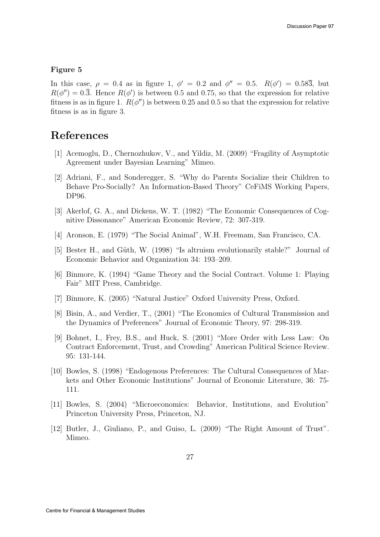#### Figure 5

In this case,  $\rho = 0.4$  as in figure 1,  $\phi' = 0.2$  and  $\phi'' = 0.5$ .  $R(\phi') = 0.58\overline{3}$ , but  $R(\phi'') = 0.\overline{3}$ . Hence  $R(\phi')$  is between 0.5 and 0.75, so that the expression for relative fitness is as in figure 1.  $R(\phi'')$  is between 0.25 and 0.5 so that the expression for relative fitness is as in figure 3.

### References

- [1] Acemoglu, D., Chernozhukov, V., and Yildiz, M. (2009) "Fragility of Asymptotic Agreement under Bayesian Learning" Mimeo.
- [2] Adriani, F., and Sonderegger, S. "Why do Parents Socialize their Children to Behave Pro-Socially? An Information-Based Theory" CeFiMS Working Papers, DP96.
- [3] Akerlof, G. A., and Dickens, W. T. (1982) "The Economic Consequences of Cognitive Dissonance" American Economic Review, 72: 307-319.
- [4] Aronson, E. (1979) "The Social Animal", W.H. Freemam, San Francisco, CA.
- [5] Bester H., and Güth, W. (1998) "Is altruism evolutionarily stable?" Journal of Economic Behavior and Organization 34: 193–209.
- [6] Binmore, K. (1994) "Game Theory and the Social Contract. Volume 1: Playing Fair" MIT Press, Cambridge.
- [7] Binmore, K. (2005) "Natural Justice" Oxford University Press, Oxford.
- [8] Bisin, A., and Verdier, T., (2001) "The Economics of Cultural Transmission and the Dynamics of Preferences" Journal of Economic Theory, 97: 298-319.
- [9] Bohnet, I., Frey, B.S., and Huck, S. (2001) "More Order with Less Law: On Contract Enforcement, Trust, and Crowding" American Political Science Review. 95: 131-144.
- [10] Bowles, S. (1998) "Endogenous Preferences: The Cultural Consequences of Markets and Other Economic Institutions" Journal of Economic Literature, 36: 75- 111.
- [11] Bowles, S. (2004) "Microeconomics: Behavior, Institutions, and Evolution" Princeton University Press, Princeton, NJ.
- [12] Butler, J., Giuliano, P., and Guiso, L. (2009) "The Right Amount of Trust". Mimeo.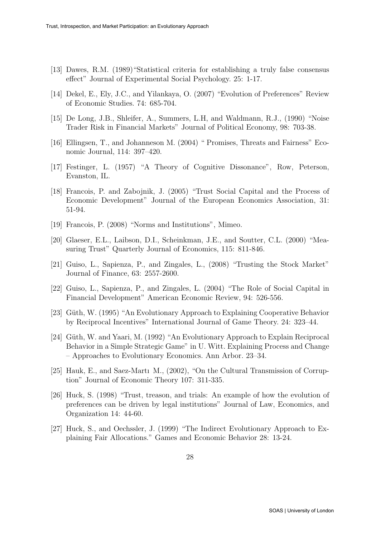- [13] Dawes, R.M. (1989)"Statistical criteria for establishing a truly false consensus effect" Journal of Experimental Social Psychology. 25: 1-17.
- [14] Dekel, E., Ely, J.C., and Yilankaya, O. (2007) "Evolution of Preferences" Review of Economic Studies. 74: 685-704.
- [15] De Long, J.B., Shleifer, A., Summers, L.H, and Waldmann, R.J., (1990) "Noise Trader Risk in Financial Markets" Journal of Political Economy, 98: 703-38.
- [16] Ellingsen, T., and Johanneson M. (2004) " Promises, Threats and Fairness" Economic Journal, 114: 397–420.
- [17] Festinger, L. (1957) "A Theory of Cognitive Dissonance", Row, Peterson, Evanston, IL.
- [18] Francois, P. and Zabojnik, J. (2005) "Trust Social Capital and the Process of Economic Development" Journal of the European Economics Association, 31: 51-94.
- [19] Francois, P. (2008) "Norms and Institutions", Mimeo.
- [20] Glaeser, E.L., Laibson, D.I., Scheinkman, J.E., and Soutter, C.L. (2000) "Measuring Trust" Quarterly Journal of Economics, 115: 811-846.
- [21] Guiso, L., Sapienza, P., and Zingales, L., (2008) "Trusting the Stock Market" Journal of Finance, 63: 2557-2600.
- [22] Guiso, L., Sapienza, P., and Zingales, L. (2004) "The Role of Social Capital in Financial Development" American Economic Review, 94: 526-556.
- [23] Güth, W. (1995) "An Evolutionary Approach to Explaining Cooperative Behavior by Reciprocal Incentives" International Journal of Game Theory. 24: 323–44.
- [24] Güth, W. and Yaari, M. (1992) "An Evolutionary Approach to Explain Reciprocal Behavior in a Simple Strategic Game" in U. Witt. Explaining Process and Change – Approaches to Evolutionary Economics. Ann Arbor. 23–34.
- [25] Hauk, E., and Saez-Martı M., (2002), "On the Cultural Transmission of Corruption" Journal of Economic Theory 107: 311-335.
- [26] Huck, S. (1998) "Trust, treason, and trials: An example of how the evolution of preferences can be driven by legal institutions" Journal of Law, Economics, and Organization 14: 44-60.
- [27] Huck, S., and Oechssler, J. (1999) "The Indirect Evolutionary Approach to Explaining Fair Allocations." Games and Economic Behavior 28: 13-24.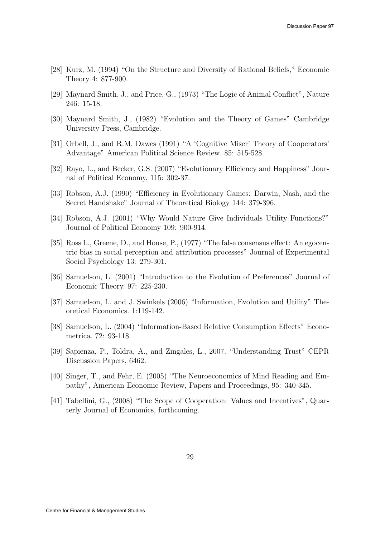- [28] Kurz, M. (1994) "On the Structure and Diversity of Rational Beliefs," Economic Theory 4: 877-900.
- [29] Maynard Smith, J., and Price, G., (1973) "The Logic of Animal Conflict", Nature 246: 15-18.
- [30] Maynard Smith, J., (1982) "Evolution and the Theory of Games" Cambridge University Press, Cambridge.
- [31] Orbell, J., and R.M. Dawes (1991) "A 'Cognitive Miser' Theory of Cooperators' Advantage" American Political Science Review. 85: 515-528.
- [32] Rayo, L., and Becker, G.S. (2007) "Evolutionary Efficiency and Happiness" Journal of Political Economy, 115: 302-37.
- [33] Robson, A.J. (1990) "Efficiency in Evolutionary Games: Darwin, Nash, and the Secret Handshake" Journal of Theoretical Biology 144: 379-396.
- [34] Robson, A.J. (2001) "Why Would Nature Give Individuals Utility Functions?" Journal of Political Economy 109: 900-914.
- [35] Ross L., Greene, D., and House, P., (1977) "The false consensus effect: An egocentric bias in social perception and attribution processes" Journal of Experimental Social Psychology 13: 279-301.
- [36] Samuelson, L. (2001) "Introduction to the Evolution of Preferences" Journal of Economic Theory. 97: 225-230.
- [37] Samuelson, L. and J. Swinkels (2006) "Information, Evolution and Utility" Theoretical Economics. 1:119-142.
- [38] Samuelson, L. (2004) "Information-Based Relative Consumption Effects" Econometrica. 72: 93-118.
- [39] Sapienza, P., Toldra, A., and Zingales, L., 2007. "Understanding Trust" CEPR Discussion Papers, 6462.
- [40] Singer, T., and Fehr, E. (2005) "The Neuroeconomics of Mind Reading and Empathy", American Economic Review, Papers and Proceedings, 95: 340-345.
- [41] Tabellini, G., (2008) "The Scope of Cooperation: Values and Incentives", Quarterly Journal of Economics, forthcoming.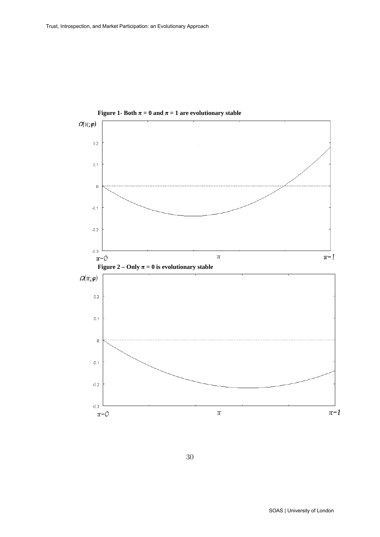



30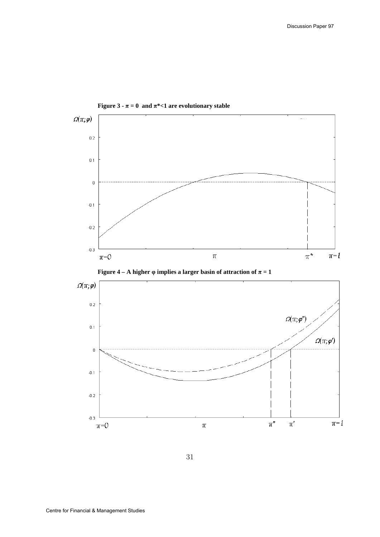